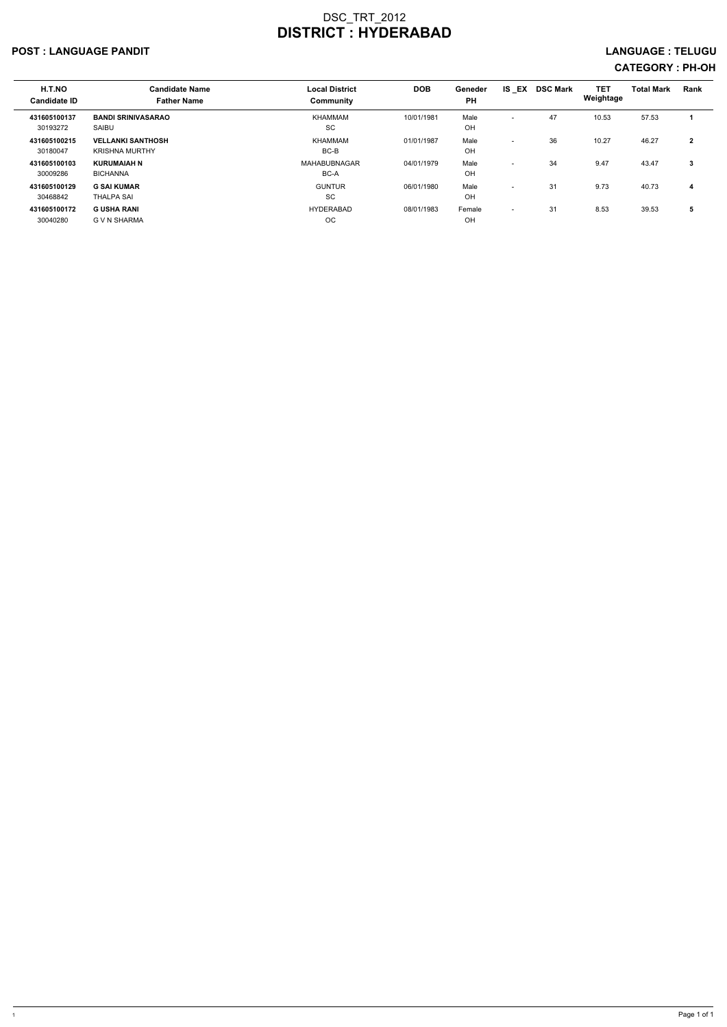#### POST : LANGUAGE PANDIT EXAMPLE TRANSMITHING THE SERVICE OF THE SERVICE OF THE SERVICE OF THE SERVICE OF THE SERVICE OF THE SERVICE OF THE SERVICE OF THE SERVICE OF THE SERVICE OF THE SERVICE OF THE SERVICE OF THE SERVICE O

| H.T.NO<br><b>Candidate ID</b> | <b>Candidate Name</b><br><b>Father Name</b>       | <b>Local District</b><br>Community | <b>DOB</b> | Geneder<br><b>PH</b> | <b>IS EX</b>             | <b>DSC Mark</b> | <b>TET</b><br>Weightage | <b>Total Mark</b> | Rank           |
|-------------------------------|---------------------------------------------------|------------------------------------|------------|----------------------|--------------------------|-----------------|-------------------------|-------------------|----------------|
| 431605100137<br>30193272      | <b>BANDI SRINIVASARAO</b><br>SAIBU                | <b>KHAMMAM</b><br><b>SC</b>        | 10/01/1981 | Male<br>OH           | $\overline{\phantom{0}}$ | 47              | 10.53                   | 57.53             |                |
| 431605100215<br>30180047      | <b>VELLANKI SANTHOSH</b><br><b>KRISHNA MURTHY</b> | <b>KHAMMAM</b><br>BC-B             | 01/01/1987 | Male<br>OH           | $\overline{\phantom{0}}$ | 36              | 10.27                   | 46.27             | $\overline{2}$ |
| 431605100103<br>30009286      | <b>KURUMAIAH N</b><br><b>BICHANNA</b>             | MAHABUBNAGAR<br>BC-A               | 04/01/1979 | Male<br>OH           | $\overline{\phantom{0}}$ | 34              | 9.47                    | 43.47             | 3              |
| 431605100129<br>30468842      | <b>G SAI KUMAR</b><br><b>THALPA SAI</b>           | <b>GUNTUR</b><br>SC                | 06/01/1980 | Male<br>OH           | $\overline{\phantom{0}}$ | 31              | 9.73                    | 40.73             | $\overline{4}$ |
| 431605100172<br>30040280      | <b>G USHA RANI</b><br>G V N SHARMA                | <b>HYDERABAD</b><br>OC.            | 08/01/1983 | Female<br>OH         | $\overline{\phantom{0}}$ | 31              | 8.53                    | 39.53             | 5              |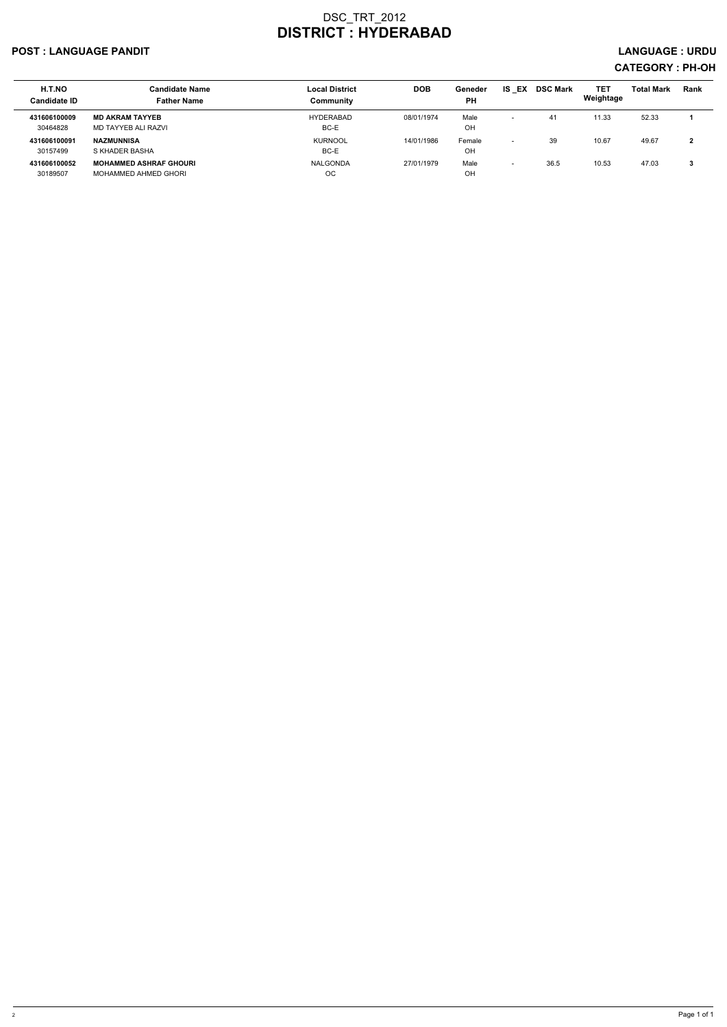#### POST : LANGUAGE PANDIT LANGUAGE : URDU

| H.T.NO<br><b>Candidate ID</b> | <b>Candidate Name</b><br><b>Father Name</b>           | <b>Local District</b><br>Community | <b>DOB</b> | Geneder<br><b>PH</b> | IS.<br>EX                | <b>DSC Mark</b> | TET<br>Weightage | <b>Total Mark</b> | <b>Rank</b>  |
|-------------------------------|-------------------------------------------------------|------------------------------------|------------|----------------------|--------------------------|-----------------|------------------|-------------------|--------------|
| 431606100009<br>30464828      | <b>MD AKRAM TAYYEB</b><br>MD TAYYEB ALI RAZVI         | HYDERABAD<br>BC-E                  | 08/01/1974 | Male<br>OH           | $\overline{\phantom{0}}$ | 41              | 11.33            | 52.33             |              |
| 431606100091<br>30157499      | <b>NAZMUNNISA</b><br>S KHADER BASHA                   | <b>KURNOOL</b><br>BC-E             | 14/01/1986 | Female<br>OH         | $\overline{\phantom{0}}$ | 39              | 10.67            | 49.67             | $\mathbf{2}$ |
| 431606100052<br>30189507      | <b>MOHAMMED ASHRAF GHOURI</b><br>MOHAMMED AHMED GHORI | NALGONDA<br>ОC                     | 27/01/1979 | Male<br>OH           | $\overline{\phantom{0}}$ | 36.5            | 10.53            | 47.03             | 3            |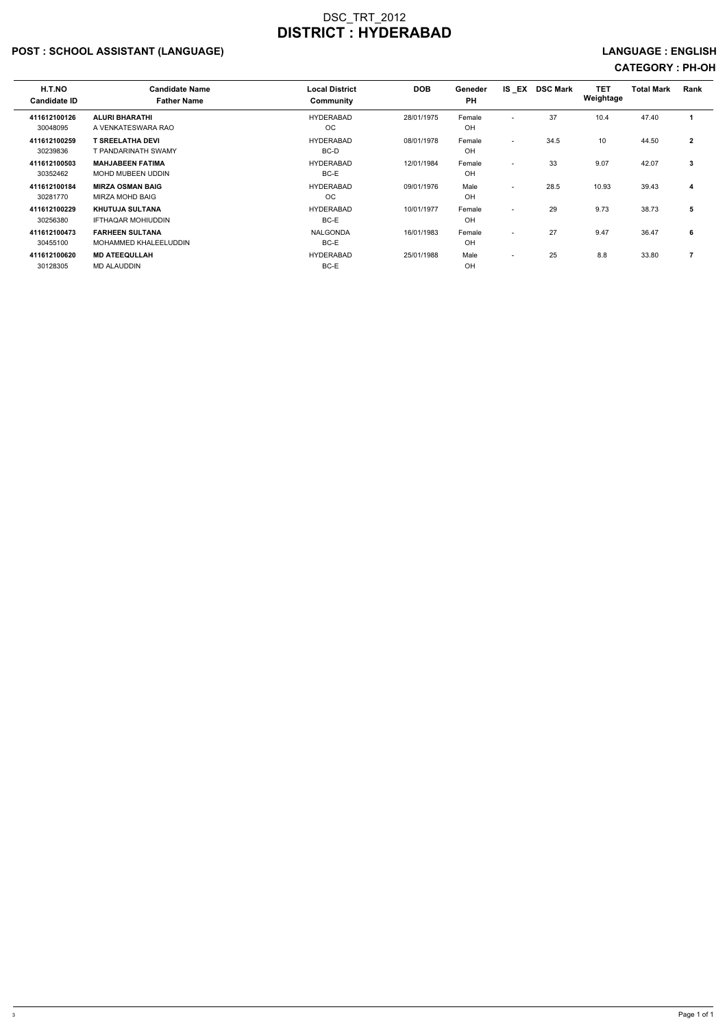## POST : SCHOOL ASSISTANT (LANGUAGE) And the state of the state of the state of the state of the state of the state of the state of the state of the state of the state of the state of the state of the state of the state of t

| H.T.NO<br><b>Candidate ID</b> | <b>Candidate Name</b><br><b>Father Name</b>         | <b>Local District</b><br>Community | <b>DOB</b> | Geneder<br><b>PH</b> |                          | IS EX DSC Mark | <b>TET</b><br>Weightage | <b>Total Mark</b> | Rank         |
|-------------------------------|-----------------------------------------------------|------------------------------------|------------|----------------------|--------------------------|----------------|-------------------------|-------------------|--------------|
| 411612100126<br>30048095      | <b>ALURI BHARATHI</b><br>A VENKATESWARA RAO         | <b>HYDERABAD</b><br><b>OC</b>      | 28/01/1975 | Female<br>OH         | $\overline{\phantom{a}}$ | 37             | 10.4                    | 47.40             |              |
| 411612100259<br>30239836      | T SREELATHA DEVI<br>T PANDARINATH SWAMY             | <b>HYDERABAD</b><br>BC-D           | 08/01/1978 | Female<br>OH         | $\overline{\phantom{0}}$ | 34.5           | 10                      | 44.50             | $\mathbf{2}$ |
| 411612100503<br>30352462      | <b>MAHJABEEN FATIMA</b><br><b>MOHD MUBEEN UDDIN</b> | <b>HYDERABAD</b><br>BC-E           | 12/01/1984 | Female<br>OH         | $\overline{\phantom{a}}$ | 33             | 9.07                    | 42.07             | 3            |
| 411612100184<br>30281770      | <b>MIRZA OSMAN BAIG</b><br>MIRZA MOHD BAIG          | <b>HYDERABAD</b><br><b>OC</b>      | 09/01/1976 | Male<br>OH           | $\overline{\phantom{a}}$ | 28.5           | 10.93                   | 39.43             | 4            |
| 411612100229<br>30256380      | <b>KHUTUJA SULTANA</b><br><b>IFTHAQAR MOHIUDDIN</b> | <b>HYDERABAD</b><br>BC-E           | 10/01/1977 | Female<br>OH         | $\overline{\phantom{a}}$ | 29             | 9.73                    | 38.73             | 5            |
| 411612100473<br>30455100      | <b>FARHEEN SULTANA</b><br>MOHAMMED KHALEELUDDIN     | <b>NALGONDA</b><br>BC-E            | 16/01/1983 | Female<br>OH         | $\sim$                   | 27             | 9.47                    | 36.47             | 6            |
| 411612100620<br>30128305      | <b>MD ATEEQULLAH</b><br><b>MD ALAUDDIN</b>          | <b>HYDERABAD</b><br>BC-E           | 25/01/1988 | Male<br>OH           | $\overline{\phantom{0}}$ | 25             | 8.8                     | 33.80             | 7            |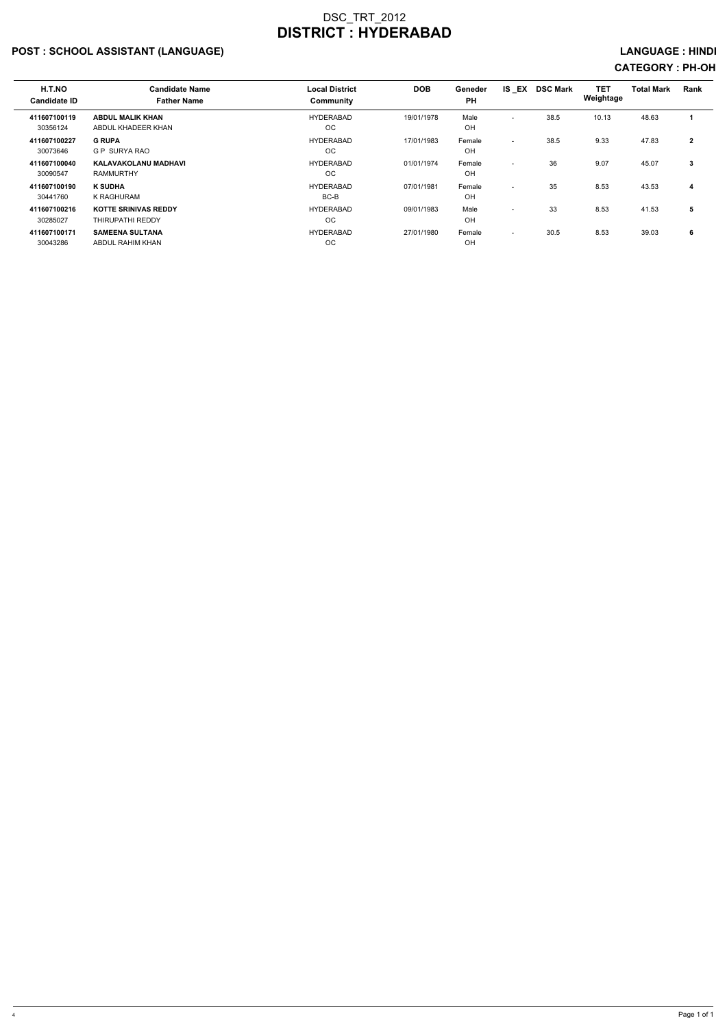## POST : SCHOOL ASSISTANT (LANGUAGE) And the state of the state of the state of the state of the state of the state of the state of the state of the state of the state of the state of the state of the state of the state of t

| H.T.NO<br><b>Candidate ID</b> | <b>Candidate Name</b><br><b>Father Name</b>            | <b>Local District</b><br><b>Community</b> | <b>DOB</b> | Geneder<br><b>PH</b> | IS EX                    | <b>DSC Mark</b> | TET<br>Weightage | <b>Total Mark</b> | Rank         |
|-------------------------------|--------------------------------------------------------|-------------------------------------------|------------|----------------------|--------------------------|-----------------|------------------|-------------------|--------------|
| 411607100119<br>30356124      | <b>ABDUL MALIK KHAN</b><br>ABDUL KHADEER KHAN          | <b>HYDERABAD</b><br>OC.                   | 19/01/1978 | Male<br>OH           | $\overline{\phantom{a}}$ | 38.5            | 10.13            | 48.63             |              |
| 411607100227<br>30073646      | <b>G RUPA</b><br><b>GP SURYA RAO</b>                   | <b>HYDERABAD</b><br>OC.                   | 17/01/1983 | Female<br>OH         | $\overline{\phantom{0}}$ | 38.5            | 9.33             | 47.83             | $\mathbf{2}$ |
| 411607100040<br>30090547      | KALAVAKOLANU MADHAVI<br><b>RAMMURTHY</b>               | <b>HYDERABAD</b><br>OC.                   | 01/01/1974 | Female<br>OH         | $\overline{\phantom{a}}$ | 36              | 9.07             | 45.07             | 3            |
| 411607100190<br>30441760      | <b>K SUDHA</b><br>K RAGHURAM                           | <b>HYDERABAD</b><br>BC-B                  | 07/01/1981 | Female<br>OH         | $\overline{\phantom{0}}$ | 35              | 8.53             | 43.53             | 4            |
| 411607100216<br>30285027      | <b>KOTTE SRINIVAS REDDY</b><br><b>THIRUPATHI REDDY</b> | <b>HYDERABAD</b><br>OC.                   | 09/01/1983 | Male<br>OH           | $\overline{\phantom{0}}$ | 33              | 8.53             | 41.53             | 5            |
| 411607100171<br>30043286      | <b>SAMEENA SULTANA</b><br>ABDUL RAHIM KHAN             | <b>HYDERABAD</b><br><b>OC</b>             | 27/01/1980 | Female<br>OH         | $\overline{\phantom{0}}$ | 30.5            | 8.53             | 39.03             | 6            |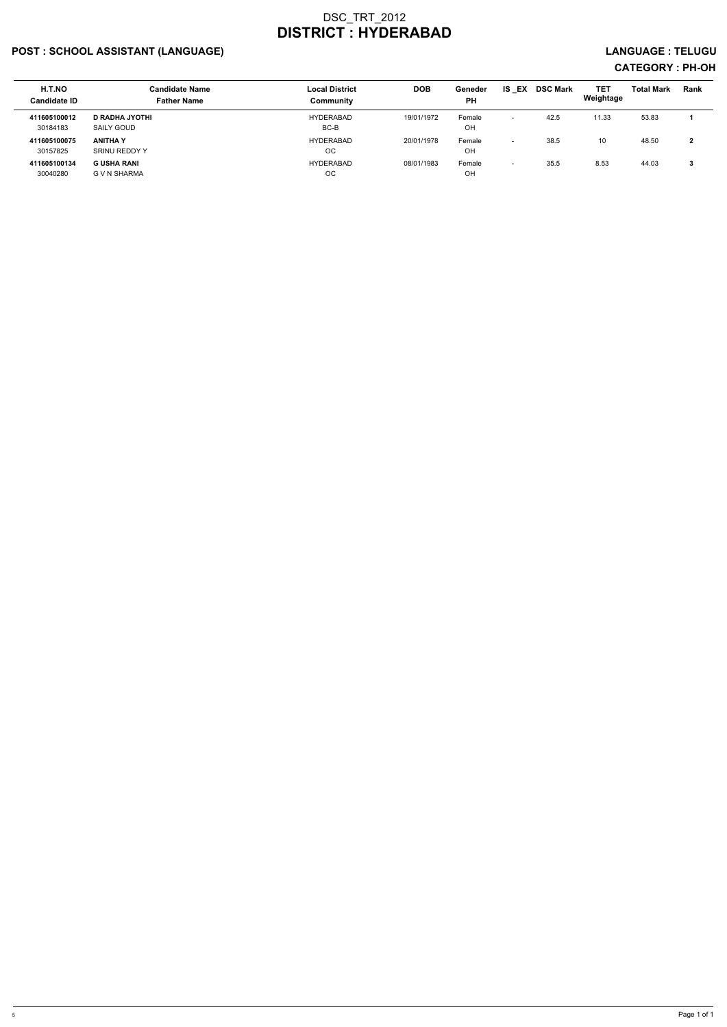## POST : SCHOOL ASSISTANT (LANGUAGE) LANGUAGE : TELUGU

| H.T.NO<br><b>Candidate ID</b> | <b>Candidate Name</b><br><b>Father Name</b> | <b>Local District</b><br>Community | <b>DOB</b> | Geneder<br><b>PH</b> | EX<br>IS.                | <b>DSC Mark</b> | <b>TET</b><br>Weightage | <b>Total Mark</b> | Rank |
|-------------------------------|---------------------------------------------|------------------------------------|------------|----------------------|--------------------------|-----------------|-------------------------|-------------------|------|
| 411605100012<br>30184183      | D RADHA JYOTHI<br>SAILY GOUD                | HYDERABAD<br>BC-B                  | 19/01/1972 | Female<br>OH         |                          | 42.5            | 11.33                   | 53.83             |      |
| 411605100075<br>30157825      | <b>ANITHA Y</b><br>SRINU REDDY Y            | HYDERABAD<br>OС                    | 20/01/1978 | Female<br>OH         | $\overline{\phantom{a}}$ | 38.5            | 10                      | 48.50             | 2    |
| 411605100134<br>30040280      | <b>G USHA RANI</b><br>G V N SHARMA          | HYDERABAD<br>OС                    | 08/01/1983 | Female<br>OH         | $\overline{\phantom{0}}$ | 35.5            | 8.53                    | 44.03             | 3    |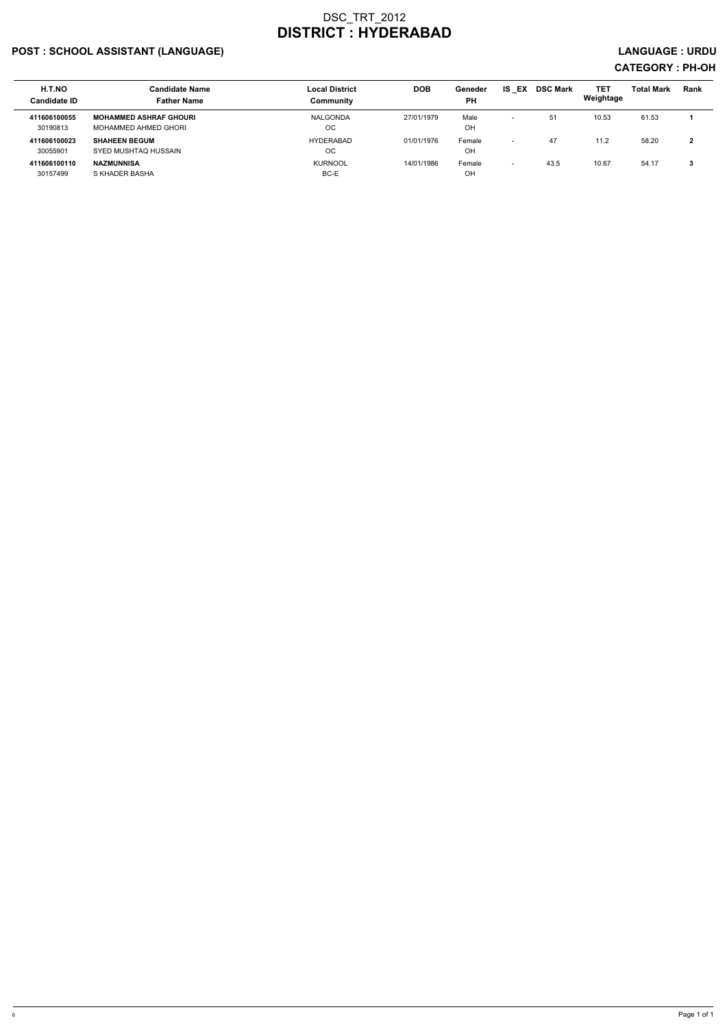## POST : SCHOOL ASSISTANT (LANGUAGE) And the set of the set of the set of the set of the set of the set of the set of the set of the set of the set of the set of the set of the set of the set of the set of the set of the set

| H.T.NO<br><b>Candidate ID</b> | <b>Candidate Name</b><br><b>Father Name</b>           | <b>Local District</b><br>Community | <b>DOB</b> | Geneder<br><b>PH</b> | IS.<br>EX                | <b>DSC Mark</b> | TET<br>Weightage | <b>Total Mark</b> | Rank |
|-------------------------------|-------------------------------------------------------|------------------------------------|------------|----------------------|--------------------------|-----------------|------------------|-------------------|------|
| 411606100055<br>30190813      | <b>MOHAMMED ASHRAF GHOURI</b><br>MOHAMMED AHMED GHORI | NALGONDA<br>ОC                     | 27/01/1979 | Male<br>OH           | $\overline{\phantom{0}}$ | 51              | 10.53            | 61.53             |      |
| 411606100023<br>30055901      | <b>SHAHEEN BEGUM</b><br>SYED MUSHTAQ HUSSAIN          | HYDERABAD<br>OC                    | 01/01/1976 | Female<br>OH         | $\overline{\phantom{0}}$ | 47              | 11.2             | 58.20             | າ    |
| 411606100110<br>30157499      | <b>NAZMUNNISA</b><br>S KHADER BASHA                   | <b>KURNOOL</b><br>BC-E             | 14/01/1986 | Female<br>OH         | $\overline{\phantom{0}}$ | 43.5            | 10.67            | 54.17             |      |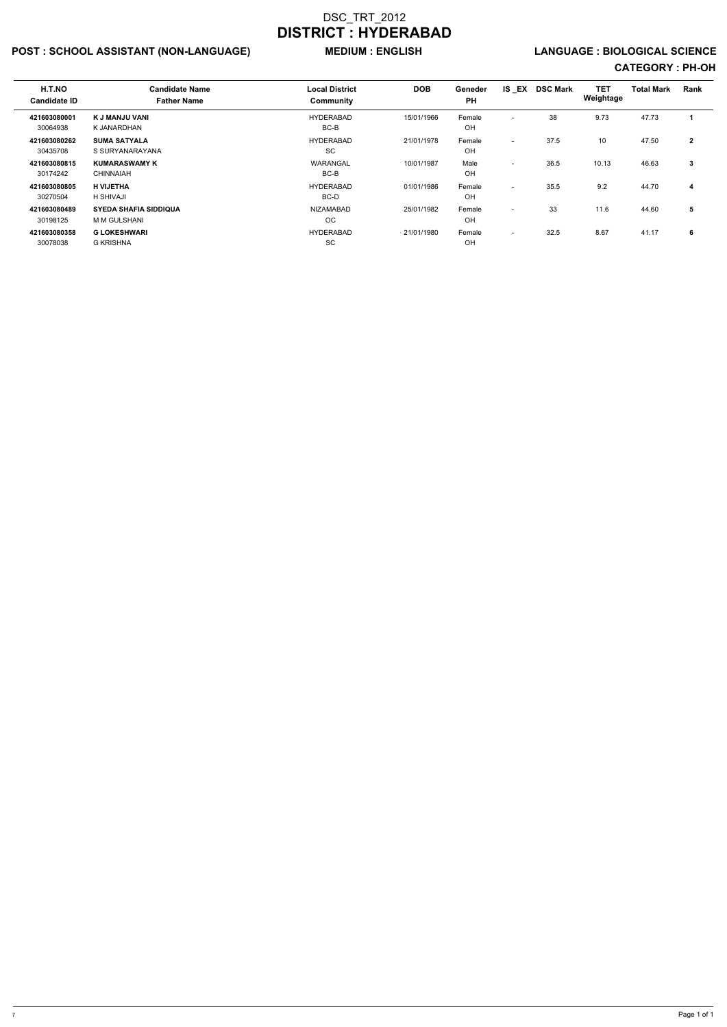## POST : SCHOOL ASSISTANT (NON-LANGUAGE) MEDIUM : ENGLISH LANGUAGE : BIOLOGICAL SCIENCE

| H.T.NO<br><b>Candidate ID</b> | <b>Candidate Name</b><br><b>Father Name</b>  | <b>Local District</b><br>Community | <b>DOB</b> | Geneder<br><b>PH</b> | IS EX                    | <b>DSC Mark</b> | <b>TET</b><br>Weightage | <b>Total Mark</b> | Rank           |
|-------------------------------|----------------------------------------------|------------------------------------|------------|----------------------|--------------------------|-----------------|-------------------------|-------------------|----------------|
| 421603080001<br>30064938      | K J MANJU VANI<br>K JANARDHAN                | <b>HYDERABAD</b><br>BC-B           | 15/01/1966 | Female<br>OH         | $\overline{\phantom{a}}$ | 38              | 9.73                    | 47.73             |                |
| 421603080262<br>30435708      | <b>SUMA SATYALA</b><br>S SURYANARAYANA       | <b>HYDERABAD</b><br>SC             | 21/01/1978 | Female<br>OH         | ٠                        | 37.5            | 10                      | 47.50             | $\overline{2}$ |
| 421603080815<br>30174242      | <b>KUMARASWAMY K</b><br><b>CHINNAIAH</b>     | WARANGAL<br>BC-B                   | 10/01/1987 | Male<br>OH           | $\overline{\phantom{a}}$ | 36.5            | 10.13                   | 46.63             | 3              |
| 421603080805<br>30270504      | <b>H VIJETHA</b><br><b>H SHIVAJI</b>         | <b>HYDERABAD</b><br>BC-D           | 01/01/1986 | Female<br>OH         | $\overline{a}$           | 35.5            | 9.2                     | 44.70             | 4              |
| 421603080489<br>30198125      | <b>SYEDA SHAFIA SIDDIQUA</b><br>M M GULSHANI | <b>NIZAMABAD</b><br>OC.            | 25/01/1982 | Female<br>OH         | $\overline{\phantom{a}}$ | 33              | 11.6                    | 44.60             | 5              |
| 421603080358<br>30078038      | <b>G LOKESHWARI</b><br><b>G KRISHNA</b>      | <b>HYDERABAD</b><br><b>SC</b>      | 21/01/1980 | Female<br>OH         | $\overline{\phantom{a}}$ | 32.5            | 8.67                    | 41.17             | 6              |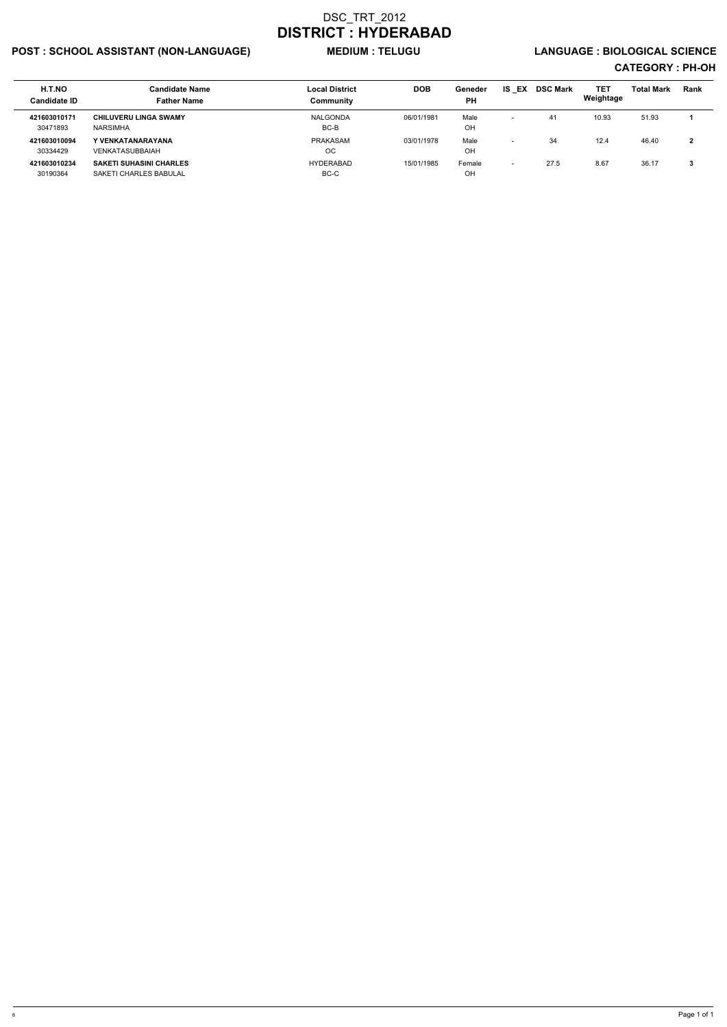## POST : SCHOOL ASSISTANT (NON-LANGUAGE) MEDIUM : TELUGU LANGUAGE : BIOLOGICAL SCIENCE

| H.T.NO<br><b>Candidate ID</b> | <b>Candidate Name</b><br><b>Father Name</b>              | <b>Local District</b><br>Community | <b>DOB</b> | Geneder<br>PH | IS.<br>EX                | <b>DSC Mark</b> | TET<br>Weightage | <b>Total Mark</b> | <b>Rank</b> |
|-------------------------------|----------------------------------------------------------|------------------------------------|------------|---------------|--------------------------|-----------------|------------------|-------------------|-------------|
| 421603010171<br>30471893      | <b>CHILUVERU LINGA SWAMY</b><br><b>NARSIMHA</b>          | NALGONDA<br>BC-B                   | 06/01/1981 | Male<br>OH    | $\overline{\phantom{0}}$ | 41              | 10.93            | 51.93             |             |
| 421603010094<br>30334429      | Y VENKATANARAYANA<br>VENKATASUBBAIAH                     | PRAKASAM<br>OC                     | 03/01/1978 | Male<br>OH    | $\overline{\phantom{0}}$ | 34              | 12.4             | 46.40             | າ<br>▴      |
| 421603010234<br>30190364      | <b>SAKETI SUHASINI CHARLES</b><br>SAKETI CHARLES BABULAL | HYDERABAD<br>BC-C                  | 15/01/1985 | Female<br>OH  | $\overline{\phantom{0}}$ | 27.5            | 8.67             | 36.17             |             |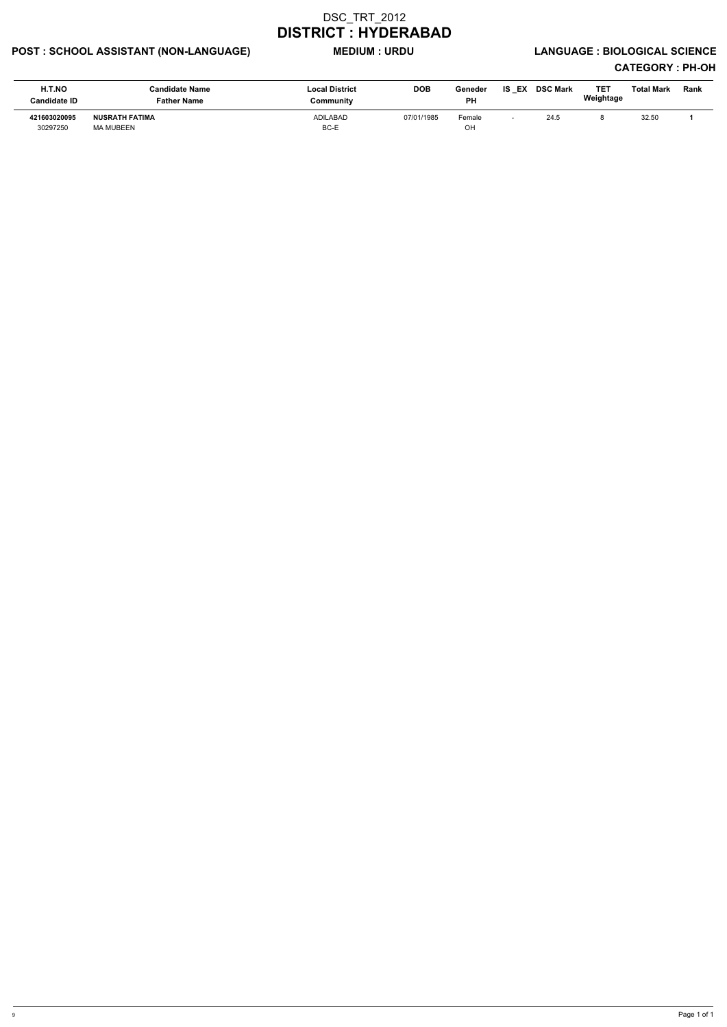## POST : SCHOOL ASSISTANT (NON-LANGUAGE) MEDIUM : URDU LANGUAGE : BIOLOGICAL SCIENCE

| H.T.NO<br><b>Candidate ID</b> | <b>Candidate Name</b><br><b>Father Name</b> | <b>Local District</b><br>Communitv | <b>DOB</b> | Geneder<br><b>PH</b> | IS EX | <b>DSC Mark</b> | TET<br>Weightage | Total Mark | <b>Rank</b> |
|-------------------------------|---------------------------------------------|------------------------------------|------------|----------------------|-------|-----------------|------------------|------------|-------------|
| 421603020095<br>30297250      | <b>NUSRATH FATIMA</b><br>MA MUBEEN          | <b>ADILABAD</b><br>BC-E            | 07/01/1985 | Female<br>OH         |       | 24.5            |                  | 32.50      |             |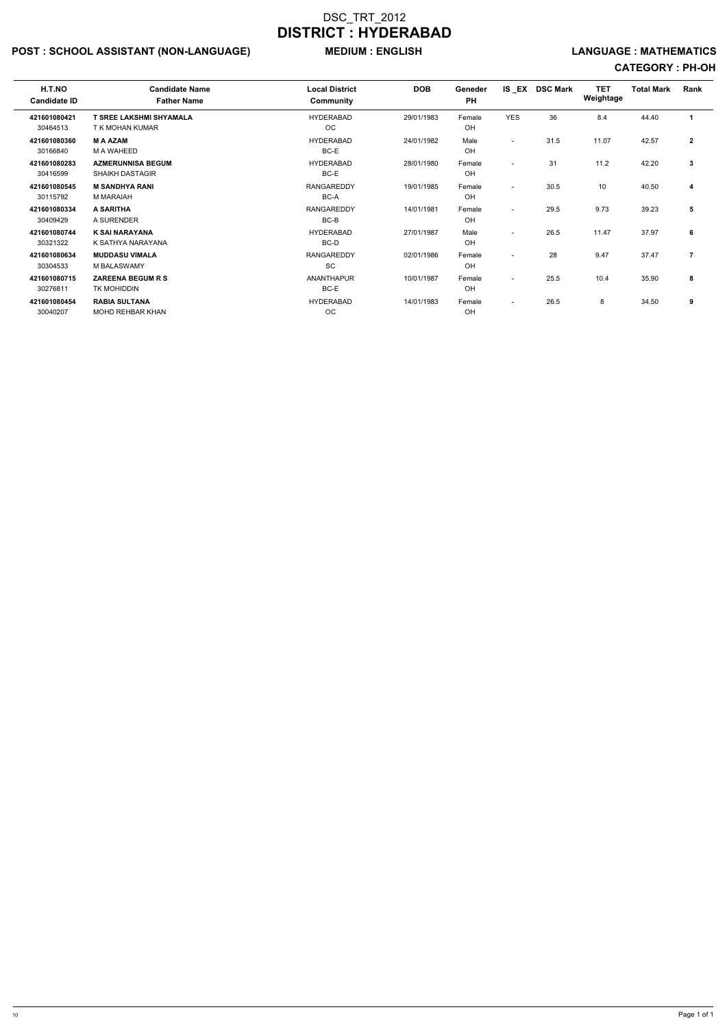## POST : SCHOOL ASSISTANT (NON-LANGUAGE) MEDIUM : ENGLISH LANGUAGE : MATHEMATICS

| H.T.NO<br><b>Candidate ID</b> | <b>Candidate Name</b><br><b>Father Name</b>        | <b>Local District</b><br>Community | <b>DOB</b> | Geneder<br><b>PH</b> | IS EX                    | <b>DSC Mark</b> | <b>TET</b><br>Weightage | <b>Total Mark</b> | Rank           |
|-------------------------------|----------------------------------------------------|------------------------------------|------------|----------------------|--------------------------|-----------------|-------------------------|-------------------|----------------|
| 421601080421<br>30464513      | <b>T SREE LAKSHMI SHYAMALA</b><br>T K MOHAN KUMAR  | <b>HYDERABAD</b><br>OC.            | 29/01/1983 | Female<br>OH         | <b>YES</b>               | 36              | 8.4                     | 44.40             | 1              |
| 421601080360<br>30166840      | <b>M A AZAM</b><br>M A WAHEED                      | <b>HYDERABAD</b><br>BC-E           | 24/01/1982 | Male<br>OH           | $\sim$                   | 31.5            | 11.07                   | 42.57             | $\overline{2}$ |
| 421601080283<br>30416599      | <b>AZMERUNNISA BEGUM</b><br><b>SHAIKH DASTAGIR</b> | <b>HYDERABAD</b><br>BC-E           | 28/01/1980 | Female<br>OH         | $\sim$                   | 31              | 11.2                    | 42.20             | 3              |
| 421601080545<br>30115792      | <b>M SANDHYA RANI</b><br>M MARAIAH                 | <b>RANGAREDDY</b><br>BC-A          | 19/01/1985 | Female<br>OH         | $\sim$                   | 30.5            | 10                      | 40.50             | 4              |
| 421601080334<br>30409429      | A SARITHA<br>A SURENDER                            | <b>RANGAREDDY</b><br>BC-B          | 14/01/1981 | Female<br>OH         | $\sim$                   | 29.5            | 9.73                    | 39.23             | 5              |
| 421601080744<br>30321322      | <b>K SAI NARAYANA</b><br>K SATHYA NARAYANA         | <b>HYDERABAD</b><br>BC-D           | 27/01/1987 | Male<br>OH           | $\overline{\phantom{0}}$ | 26.5            | 11.47                   | 37.97             | 6              |
| 421601080634<br>30304533      | <b>MUDDASU VIMALA</b><br>M BALASWAMY               | <b>RANGAREDDY</b><br><b>SC</b>     | 02/01/1986 | Female<br>OH         | $\overline{a}$           | 28              | 9.47                    | 37.47             | $\overline{7}$ |
| 421601080715<br>30276811      | <b>ZAREENA BEGUM R S</b><br>TK MOHIDDIN            | <b>ANANTHAPUR</b><br>BC-E          | 10/01/1987 | Female<br>OH         | $\overline{a}$           | 25.5            | 10.4                    | 35.90             | 8              |
| 421601080454<br>30040207      | <b>RABIA SULTANA</b><br><b>MOHD REHBAR KHAN</b>    | <b>HYDERABAD</b><br><b>OC</b>      | 14/01/1983 | Female<br>OH         | $\sim$                   | 26.5            | 8                       | 34.50             | 9              |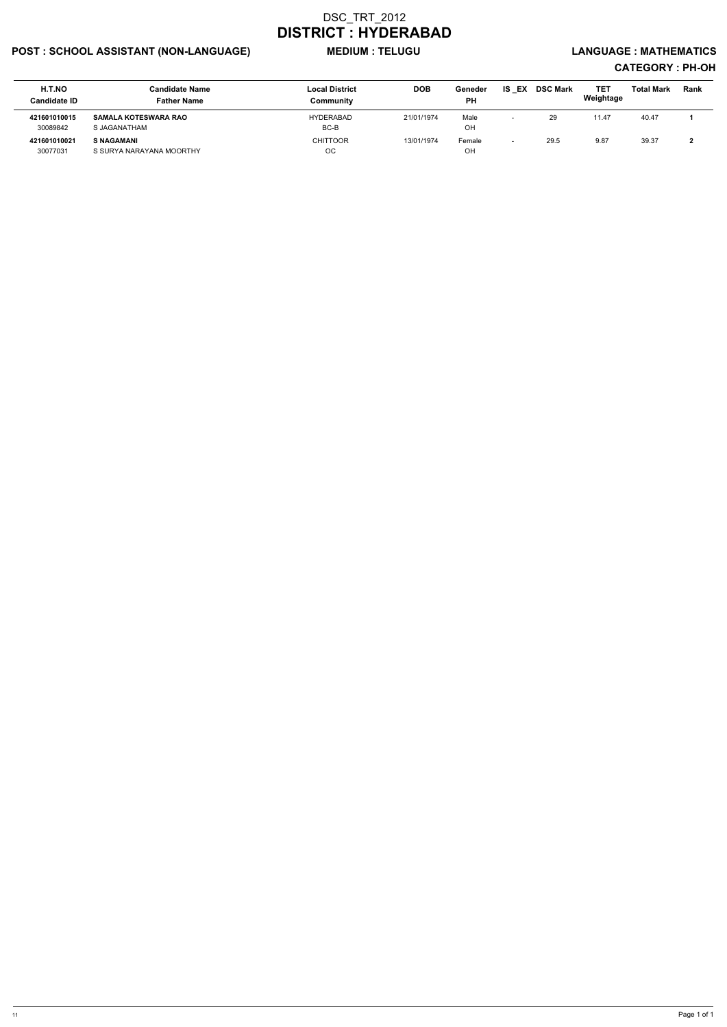## POST : SCHOOL ASSISTANT (NON-LANGUAGE) MEDIUM : TELUGU LANGUAGE : MATHEMATICS

| H.T.NO<br><b>Candidate ID</b> | Candidate Name<br><b>Father Name</b>          | <b>Local District</b><br>Community | <b>DOB</b> | Geneder<br><b>PH</b> | IS EX DSC Mark | <b>TET</b><br>Weightage | <b>Total Mark</b> | Rank |
|-------------------------------|-----------------------------------------------|------------------------------------|------------|----------------------|----------------|-------------------------|-------------------|------|
| 421601010015<br>30089842      | <b>SAMALA KOTESWARA RAO</b><br>S JAGANATHAM   | <b>HYDERABAD</b><br>BC-B           | 21/01/1974 | Male<br>OH           | 29             | 11.47                   | 40.47             |      |
| 421601010021<br>30077031      | <b>S NAGAMANI</b><br>S SURYA NARAYANA MOORTHY | <b>CHITTOOR</b><br><b>OC</b>       | 13/01/1974 | Female<br>OH         | 29.5           | 9.87                    | 39.37             |      |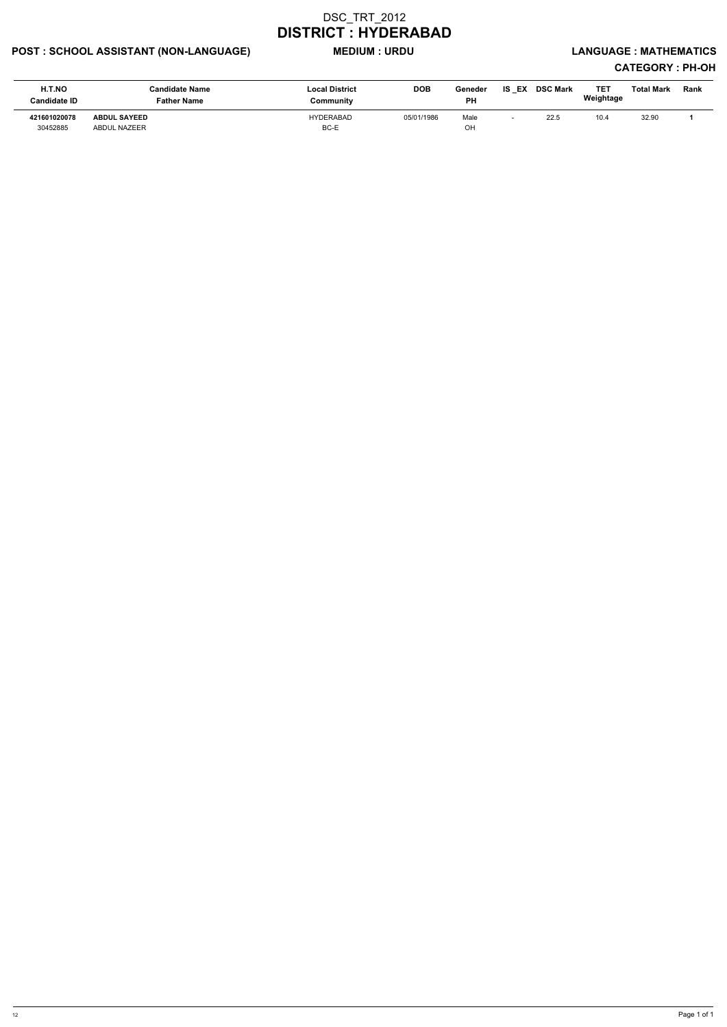## POST : SCHOOL ASSISTANT (NON-LANGUAGE) MEDIUM : URDU LANGUAGE : MATHEMATICS

| H.T.NO<br><b>Candidate ID</b> | <b>Candidate Name</b><br><b>Father Name</b> | <b>Local District</b><br>Community | <b>DOB</b> | Geneder<br><b>PH</b> | <b>IS EX</b> | <b>DSC Mark</b> | TET<br>Weightage | <b>Total Mark</b> | <b>Rank</b> |
|-------------------------------|---------------------------------------------|------------------------------------|------------|----------------------|--------------|-----------------|------------------|-------------------|-------------|
| 421601020078<br>30452885      | <b>ABDUL SAYEED</b><br>ABDUL NAZEER         | HYDERABAD<br>BC-E                  | 05/01/1986 | Male<br>OH           |              | 22.5            | 10.4             | 32.90             |             |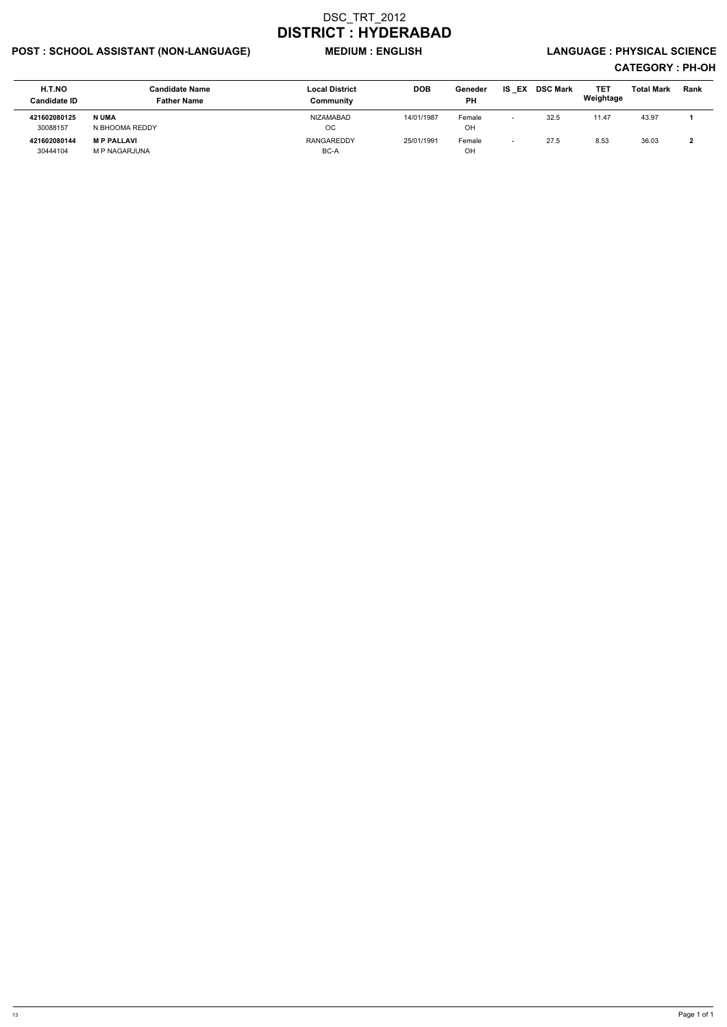## POST : SCHOOL ASSISTANT (NON-LANGUAGE) WEDIUM : ENGLISH LANGUAGE : PHYSICAL SCIENCE

| H.T.NO<br><b>Candidate ID</b> | <b>Candidate Name</b><br><b>Father Name</b> | <b>Local District</b><br>Communitv | <b>DOB</b> | Geneder<br>PH | EX<br>IS.                | <b>DSC Mark</b> | <b>TET</b><br>Weightage | <b>Total Mark</b> | <b>Rank</b> |
|-------------------------------|---------------------------------------------|------------------------------------|------------|---------------|--------------------------|-----------------|-------------------------|-------------------|-------------|
| 421602080125                  | N UMA                                       | NIZAMABAD                          | 14/01/1987 | Female        | $\overline{\phantom{0}}$ | 32.5            | 11.47                   | 43.97             |             |
| 30088157                      | N BHOOMA REDDY                              | OC                                 |            | OH            |                          |                 |                         |                   |             |
| 421602080144                  | <b>MP PALLAVI</b>                           | RANGAREDDY                         | 25/01/1991 | Female        |                          | 27.5            | 8.53                    | 36.03             |             |
| 30444104                      | <b>M P NAGARJUNA</b>                        | BC-A                               |            | OH            |                          |                 |                         |                   |             |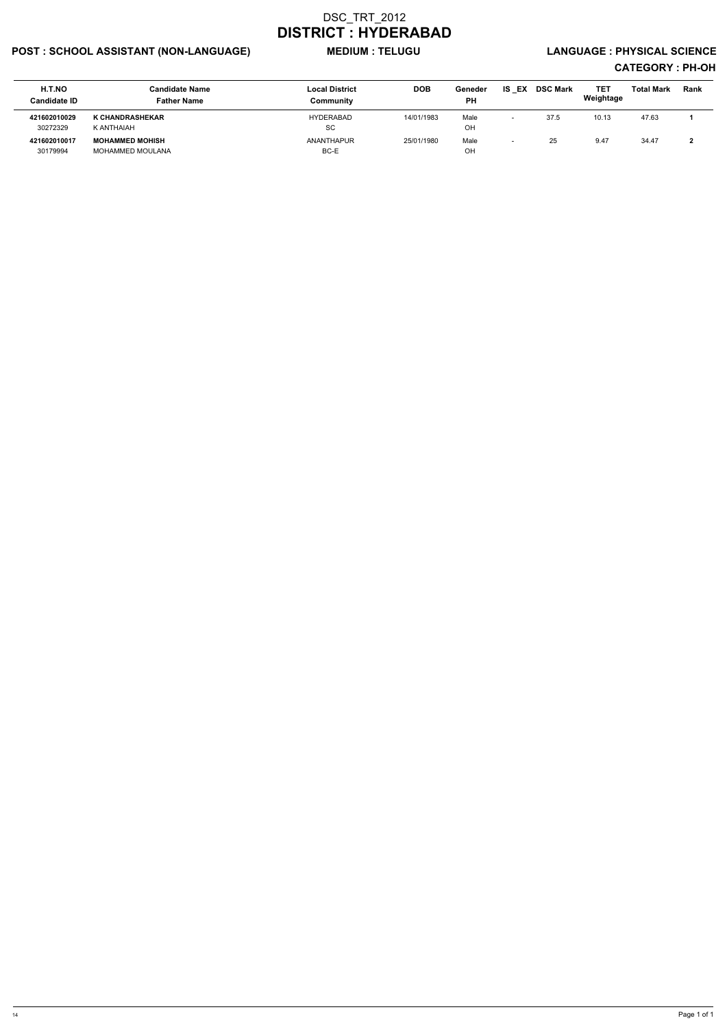## POST : SCHOOL ASSISTANT (NON-LANGUAGE) MEDIUM : TELUGU LANGUAGE : PHYSICAL SCIENCE

| H.T.NO<br><b>Candidate ID</b> | <b>Candidate Name</b><br><b>Father Name</b> | <b>Local District</b><br>Community | <b>DOB</b> | Geneder<br>PH | EX<br>IS                 | <b>DSC Mark</b> | <b>TET</b><br>Weightage | <b>Total Mark</b> | <b>Rank</b> |
|-------------------------------|---------------------------------------------|------------------------------------|------------|---------------|--------------------------|-----------------|-------------------------|-------------------|-------------|
| 421602010029<br>30272329      | <b>K CHANDRASHEKAR</b><br>K ANTHAIAH        | HYDERABAD<br>-SC                   | 14/01/1983 | Male<br>OH    | $\overline{\phantom{0}}$ | 37.5            | 10.13                   | 47.63             |             |
| 421602010017<br>30179994      | <b>MOHAMMED MOHISH</b><br>MOHAMMED MOULANA  | ANANTHAPUR<br>BC-E                 | 25/01/1980 | Male<br>OH    | $\overline{\phantom{0}}$ | 25              | 9.47                    | 34.47             |             |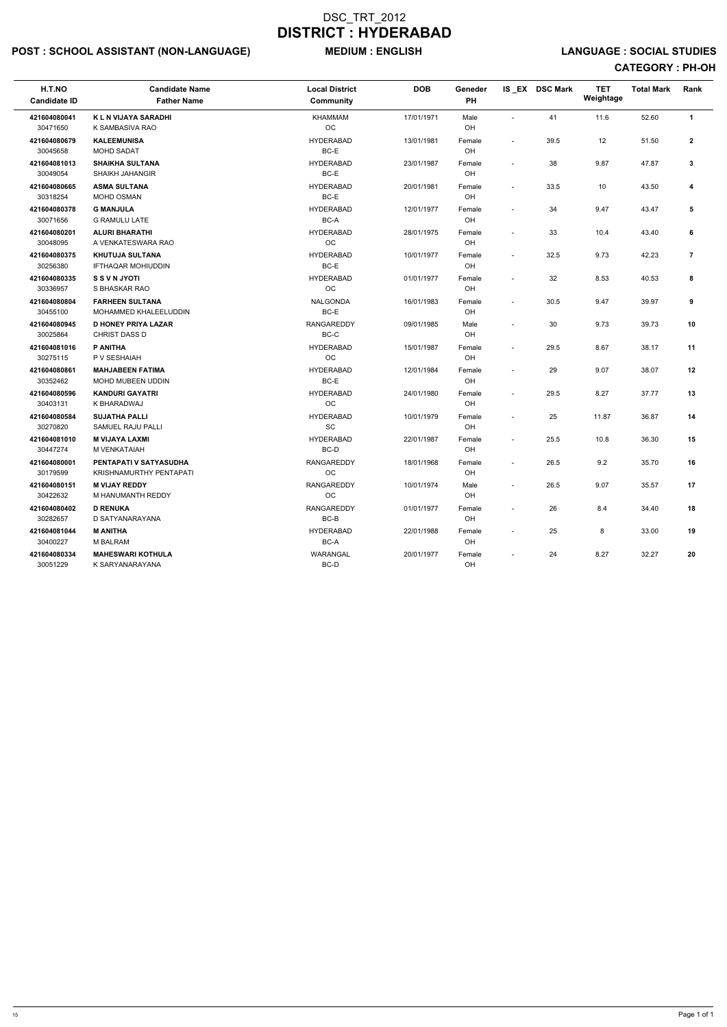## POST : SCHOOL ASSISTANT (NON-LANGUAGE) MEDIUM : ENGLISH LANGUAGE : SOCIAL STUDIES

| H.T.NO<br><b>Candidate ID</b> | <b>Candidate Name</b><br><b>Father Name</b>            | <b>Local District</b><br><b>Community</b> | <b>DOB</b> | Geneder<br>PH |                          | IS EX DSC Mark | <b>TET</b><br>Weightage | <b>Total Mark</b> | Rank           |
|-------------------------------|--------------------------------------------------------|-------------------------------------------|------------|---------------|--------------------------|----------------|-------------------------|-------------------|----------------|
| 421604080041<br>30471650      | <b>KLN VIJAYA SARADHI</b><br>K SAMBASIVA RAO           | <b>KHAMMAM</b><br>OC                      | 17/01/1971 | Male<br>OH    |                          | 41             | 11.6                    | 52.60             | $\mathbf{1}$   |
| 421604080679<br>30045658      | <b>KALEEMUNISA</b><br>MOHD SADAT                       | <b>HYDERABAD</b><br>BC-E                  | 13/01/1981 | Female<br>OH  | $\sim$                   | 39.5           | 12                      | 51.50             | $\overline{2}$ |
| 421604081013<br>30049054      | <b>SHAIKHA SULTANA</b><br><b>SHAIKH JAHANGIR</b>       | <b>HYDERABAD</b><br>BC-E                  | 23/01/1987 | Female<br>OH  | $\sim$                   | 38             | 9.87                    | 47.87             | 3              |
| 421604080665<br>30318254      | <b>ASMA SULTANA</b><br>MOHD OSMAN                      | <b>HYDERABAD</b><br>BC-E                  | 20/01/1981 | Female<br>OH  | $\sim$                   | 33.5           | 10                      | 43.50             | 4              |
| 421604080378<br>30071656      | <b>G MANJULA</b><br><b>G RAMULU LATE</b>               | <b>HYDERABAD</b><br>BC-A                  | 12/01/1977 | Female<br>OH  |                          | 34             | 9.47                    | 43.47             | 5              |
| 421604080201<br>30048095      | <b>ALURI BHARATHI</b><br>A VENKATESWARA RAO            | <b>HYDERABAD</b><br>OC                    | 28/01/1975 | Female<br>OH  | $\overline{\phantom{a}}$ | 33             | 10.4                    | 43.40             | 6              |
| 421604080375<br>30256380      | <b>KHUTUJA SULTANA</b><br><b>IFTHAQAR MOHIUDDIN</b>    | <b>HYDERABAD</b><br>BC-E                  | 10/01/1977 | Female<br>OH  | $\overline{\phantom{a}}$ | 32.5           | 9.73                    | 42.23             | 7              |
| 421604080335<br>30336957      | <b>S S V N JYOTI</b><br>S BHASKAR RAO                  | <b>HYDERABAD</b><br>OC                    | 01/01/1977 | Female<br>OH  | $\overline{\phantom{a}}$ | 32             | 8.53                    | 40.53             | 8              |
| 421604080804<br>30455100      | <b>FARHEEN SULTANA</b><br><b>MOHAMMED KHALEELUDDIN</b> | <b>NALGONDA</b><br>BC-E                   | 16/01/1983 | Female<br>OH  | $\sim$                   | 30.5           | 9.47                    | 39.97             | 9              |
| 421604080945<br>30025864      | <b>D HONEY PRIYA LAZAR</b><br>CHRIST DASS D            | <b>RANGAREDDY</b><br>BC-C                 | 09/01/1985 | Male<br>OH    | $\sim$                   | 30             | 9.73                    | 39.73             | 10             |
| 421604081016<br>30275115      | P ANITHA<br>P V SESHAIAH                               | <b>HYDERABAD</b><br><b>OC</b>             | 15/01/1987 | Female<br>OH  | $\overline{\phantom{a}}$ | 29.5           | 8.67                    | 38.17             | 11             |
| 421604080861<br>30352462      | <b>MAHJABEEN FATIMA</b><br>MOHD MUBEEN UDDIN           | <b>HYDERABAD</b><br>BC-E                  | 12/01/1984 | Female<br>OH  | $\sim$                   | 29             | 9.07                    | 38.07             | 12             |
| 421604080596<br>30403131      | <b>KANDURI GAYATRI</b><br>K BHARADWAJ                  | <b>HYDERABAD</b><br>OC                    | 24/01/1980 | Female<br>OH  | $\overline{\phantom{a}}$ | 29.5           | 8.27                    | 37.77             | 13             |
| 421604080584<br>30270820      | <b>SUJATHA PALLI</b><br>SAMUEL RAJU PALLI              | <b>HYDERABAD</b><br>SC                    | 10/01/1979 | Female<br>OH  | $\overline{\phantom{a}}$ | 25             | 11.87                   | 36.87             | 14             |
| 421604081010<br>30447274      | <b>M VIJAYA LAXMI</b><br>M VENKATAIAH                  | <b>HYDERABAD</b><br>BC-D                  | 22/01/1987 | Female<br>OH  | $\overline{\phantom{a}}$ | 25.5           | 10.8                    | 36.30             | 15             |
| 421604080001<br>30179599      | PENTAPATI V SATYASUDHA<br>KRISHNAMURTHY PENTAPATI      | RANGAREDDY<br>OC                          | 18/01/1968 | Female<br>OH  |                          | 26.5           | 9.2                     | 35.70             | 16             |
| 421604080151<br>30422632      | <b>M VIJAY REDDY</b><br>M HANUMANTH REDDY              | <b>RANGAREDDY</b><br><b>OC</b>            | 10/01/1974 | Male<br>OH    | $\sim$                   | 26.5           | 9.07                    | 35.57             | 17             |
| 421604080402<br>30282657      | <b>D RENUKA</b><br>D SATYANARAYANA                     | <b>RANGAREDDY</b><br>BC-B                 | 01/01/1977 | Female<br>OH  | $\sim$                   | 26             | 8.4                     | 34.40             | 18             |
| 421604081044<br>30400227      | <b>M ANITHA</b><br>M BALRAM                            | <b>HYDERABAD</b><br>BC-A                  | 22/01/1988 | Female<br>OH  | $\sim$                   | 25             | 8                       | 33.00             | 19             |
| 421604080334<br>30051229      | <b>MAHESWARI KOTHULA</b><br>K SARYANARAYANA            | WARANGAL<br>BC-D                          | 20/01/1977 | Female<br>OH  |                          | 24             | 8.27                    | 32.27             | 20             |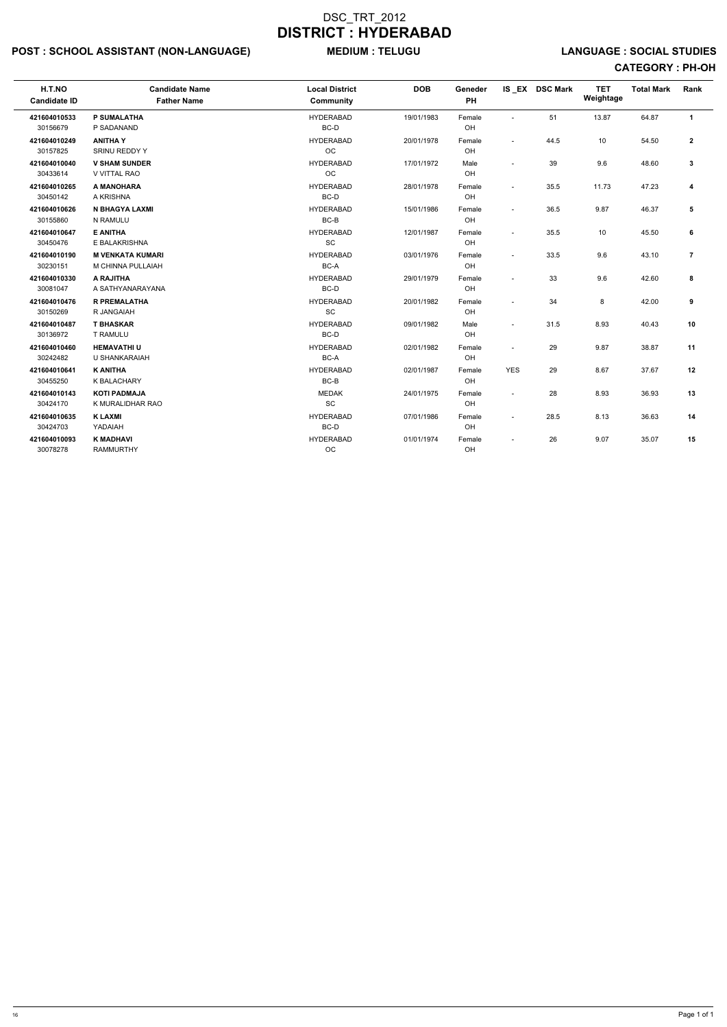## POST : SCHOOL ASSISTANT (NON-LANGUAGE) MEDIUM : TELUGU LANGUAGE : SOCIAL STUDIES

| H.T.NO<br><b>Candidate ID</b> | <b>Candidate Name</b><br><b>Father Name</b>  | <b>Local District</b><br><b>Community</b> | <b>DOB</b> | Geneder<br>PH |                          | IS EX DSC Mark | <b>TET</b><br>Weightage | <b>Total Mark</b> | Rank           |
|-------------------------------|----------------------------------------------|-------------------------------------------|------------|---------------|--------------------------|----------------|-------------------------|-------------------|----------------|
| 421604010533<br>30156679      | <b>P SUMALATHA</b><br>P SADANAND             | <b>HYDERABAD</b><br>BC-D                  | 19/01/1983 | Female<br>OH  | $\sim$                   | 51             | 13.87                   | 64.87             | $\mathbf{1}$   |
| 421604010249<br>30157825      | <b>ANITHAY</b><br>SRINU REDDY Y              | <b>HYDERABAD</b><br>OC                    | 20/01/1978 | Female<br>OH  | $\overline{\phantom{a}}$ | 44.5           | 10                      | 54.50             | $\mathbf{2}$   |
| 421604010040<br>30433614      | <b>V SHAM SUNDER</b><br><b>V VITTAL RAO</b>  | <b>HYDERABAD</b><br><b>OC</b>             | 17/01/1972 | Male<br>OH    | $\overline{a}$           | 39             | 9.6                     | 48.60             | 3              |
| 421604010265<br>30450142      | A MANOHARA<br>A KRISHNA                      | <b>HYDERABAD</b><br>BC-D                  | 28/01/1978 | Female<br>OH  | $\sim$                   | 35.5           | 11.73                   | 47.23             | 4              |
| 421604010626<br>30155860      | N BHAGYA LAXMI<br>N RAMULU                   | <b>HYDERABAD</b><br>BC-B                  | 15/01/1986 | Female<br>OH  | $\sim$                   | 36.5           | 9.87                    | 46.37             | 5              |
| 421604010647<br>30450476      | <b>E ANITHA</b><br>E BALAKRISHNA             | <b>HYDERABAD</b><br>SC                    | 12/01/1987 | Female<br>OH  | $\sim$                   | 35.5           | 10                      | 45.50             | 6              |
| 421604010190<br>30230151      | <b>M VENKATA KUMARI</b><br>M CHINNA PULLAIAH | <b>HYDERABAD</b><br>BC-A                  | 03/01/1976 | Female<br>OH  | $\sim$                   | 33.5           | 9.6                     | 43.10             | $\overline{7}$ |
| 421604010330<br>30081047      | A RAJITHA<br>A SATHYANARAYANA                | <b>HYDERABAD</b><br>BC-D                  | 29/01/1979 | Female<br>OH  | $\sim$                   | 33             | 9.6                     | 42.60             | 8              |
| 421604010476<br>30150269      | <b>R PREMALATHA</b><br>R JANGAIAH            | <b>HYDERABAD</b><br>SC                    | 20/01/1982 | Female<br>OH  | $\sim$                   | 34             | 8                       | 42.00             | 9              |
| 421604010487<br>30136972      | <b>T BHASKAR</b><br><b>T RAMULU</b>          | <b>HYDERABAD</b><br>BC-D                  | 09/01/1982 | Male<br>OH    | $\sim$                   | 31.5           | 8.93                    | 40.43             | 10             |
| 421604010460<br>30242482      | <b>HEMAVATHIU</b><br>U SHANKARAIAH           | <b>HYDERABAD</b><br>BC-A                  | 02/01/1982 | Female<br>OH  | $\sim$                   | 29             | 9.87                    | 38.87             | 11             |
| 421604010641<br>30455250      | <b>K ANITHA</b><br><b>K BALACHARY</b>        | <b>HYDERABAD</b><br>BC-B                  | 02/01/1987 | Female<br>OH  | <b>YES</b>               | 29             | 8.67                    | 37.67             | 12             |
| 421604010143<br>30424170      | <b>KOTI PADMAJA</b><br>K MURALIDHAR RAO      | <b>MEDAK</b><br>SC                        | 24/01/1975 | Female<br>OH  | $\overline{a}$           | 28             | 8.93                    | 36.93             | 13             |
| 421604010635<br>30424703      | <b>K LAXMI</b><br>YADAIAH                    | <b>HYDERABAD</b><br>BC-D                  | 07/01/1986 | Female<br>OH  | $\sim$                   | 28.5           | 8.13                    | 36.63             | 14             |
| 421604010093<br>30078278      | <b>K MADHAVI</b><br><b>RAMMURTHY</b>         | <b>HYDERABAD</b><br>OC                    | 01/01/1974 | Female<br>OH  |                          | 26             | 9.07                    | 35.07             | 15             |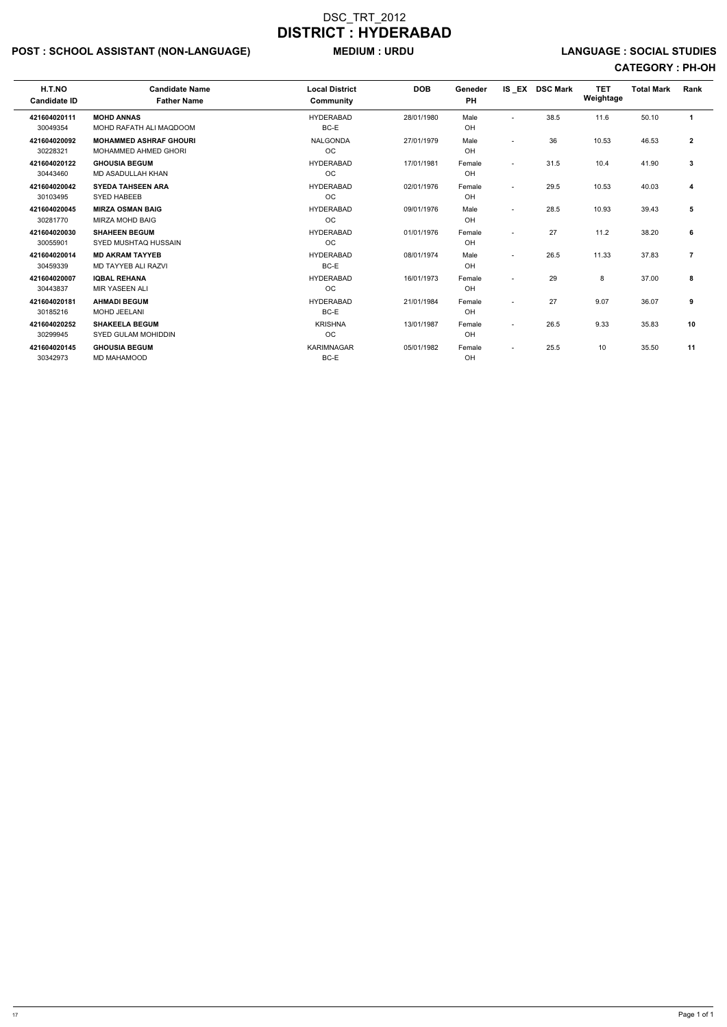## POST : SCHOOL ASSISTANT (NON-LANGUAGE) MEDIUM : URDU LANGUAGE : SOCIAL STUDIES

| H.T.NO<br><b>Candidate ID</b> | <b>Candidate Name</b><br><b>Father Name</b>                  | <b>Local District</b><br><b>Community</b> | <b>DOB</b> | Geneder<br><b>PH</b> |                          | IS EX DSC Mark | <b>TET</b><br>Weightage | <b>Total Mark</b> | <b>Rank</b>          |
|-------------------------------|--------------------------------------------------------------|-------------------------------------------|------------|----------------------|--------------------------|----------------|-------------------------|-------------------|----------------------|
| 421604020111<br>30049354      | <b>MOHD ANNAS</b><br>MOHD RAFATH ALI MAQDOOM                 | <b>HYDERABAD</b><br>BC-E                  | 28/01/1980 | Male<br>OH           | $\sim$                   | 38.5           | 11.6                    | 50.10             | $\blacktriangleleft$ |
| 421604020092<br>30228321      | <b>MOHAMMED ASHRAF GHOURI</b><br><b>MOHAMMED AHMED GHORI</b> | <b>NALGONDA</b><br>OC                     | 27/01/1979 | Male<br>OH           | $\sim$                   | 36             | 10.53                   | 46.53             | $\overline{2}$       |
| 421604020122<br>30443460      | <b>GHOUSIA BEGUM</b><br>MD ASADULLAH KHAN                    | <b>HYDERABAD</b><br>OC                    | 17/01/1981 | Female<br>OH         | $\overline{\phantom{0}}$ | 31.5           | 10.4                    | 41.90             | 3                    |
| 421604020042<br>30103495      | <b>SYEDA TAHSEEN ARA</b><br><b>SYED HABEEB</b>               | <b>HYDERABAD</b><br><b>OC</b>             | 02/01/1976 | Female<br>OH         | $\overline{\phantom{a}}$ | 29.5           | 10.53                   | 40.03             | 4                    |
| 421604020045<br>30281770      | <b>MIRZA OSMAN BAIG</b><br><b>MIRZA MOHD BAIG</b>            | <b>HYDERABAD</b><br><b>OC</b>             | 09/01/1976 | Male<br>OH           | $\overline{\phantom{a}}$ | 28.5           | 10.93                   | 39.43             | 5                    |
| 421604020030<br>30055901      | <b>SHAHEEN BEGUM</b><br>SYED MUSHTAQ HUSSAIN                 | <b>HYDERABAD</b><br><b>OC</b>             | 01/01/1976 | Female<br>OH         |                          | 27             | 11.2                    | 38.20             | 6                    |
| 421604020014<br>30459339      | <b>MD AKRAM TAYYEB</b><br>MD TAYYEB ALI RAZVI                | <b>HYDERABAD</b><br>BC-E                  | 08/01/1974 | Male<br>OH           |                          | 26.5           | 11.33                   | 37.83             | $\overline{7}$       |
| 421604020007<br>30443837      | <b>IQBAL REHANA</b><br><b>MIR YASEEN ALI</b>                 | <b>HYDERABAD</b><br><b>OC</b>             | 16/01/1973 | Female<br>OH         |                          | 29             | 8                       | 37.00             | 8                    |
| 421604020181<br>30185216      | <b>AHMADI BEGUM</b><br>MOHD JEELANI                          | <b>HYDERABAD</b><br>BC-E                  | 21/01/1984 | Female<br>OH         |                          | 27             | 9.07                    | 36.07             | 9                    |
| 421604020252<br>30299945      | <b>SHAKEELA BEGUM</b><br><b>SYED GULAM MOHIDDIN</b>          | <b>KRISHNA</b><br><b>OC</b>               | 13/01/1987 | Female<br>OH         | $\overline{\phantom{a}}$ | 26.5           | 9.33                    | 35.83             | 10                   |
| 421604020145<br>30342973      | <b>GHOUSIA BEGUM</b><br>MD MAHAMOOD                          | <b>KARIMNAGAR</b><br>BC-E                 | 05/01/1982 | Female<br>OH         | $\overline{\phantom{a}}$ | 25.5           | 10                      | 35.50             | 11                   |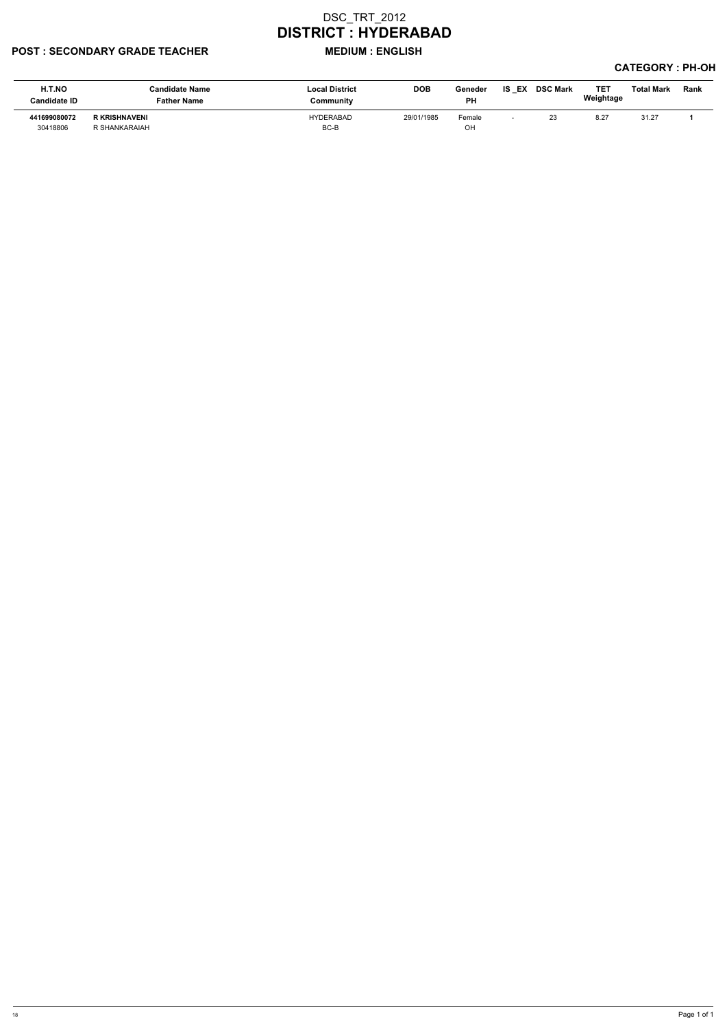### POST : SECONDARY GRADE TEACHER MEDIUM : ENGLISH

| H.T.NO<br>Candidate ID   | <b>Candidate Name</b><br>Father Name  | <b>Local District</b><br>Community | <b>DOB</b> | Geneder<br><b>PH</b> | <b>IS EX DSC Mark</b> | <b>TET</b><br>Weightage | <b>Total Mark</b> | <b>Rank</b> |
|--------------------------|---------------------------------------|------------------------------------|------------|----------------------|-----------------------|-------------------------|-------------------|-------------|
| 441699080072<br>30418806 | <b>R KRISHNAVENI</b><br>R SHANKARAIAH | HYDERABAD<br>BC-B                  | 29/01/1985 | Female<br>OH         | 23                    | $8.2^{-}$               | 31.27             |             |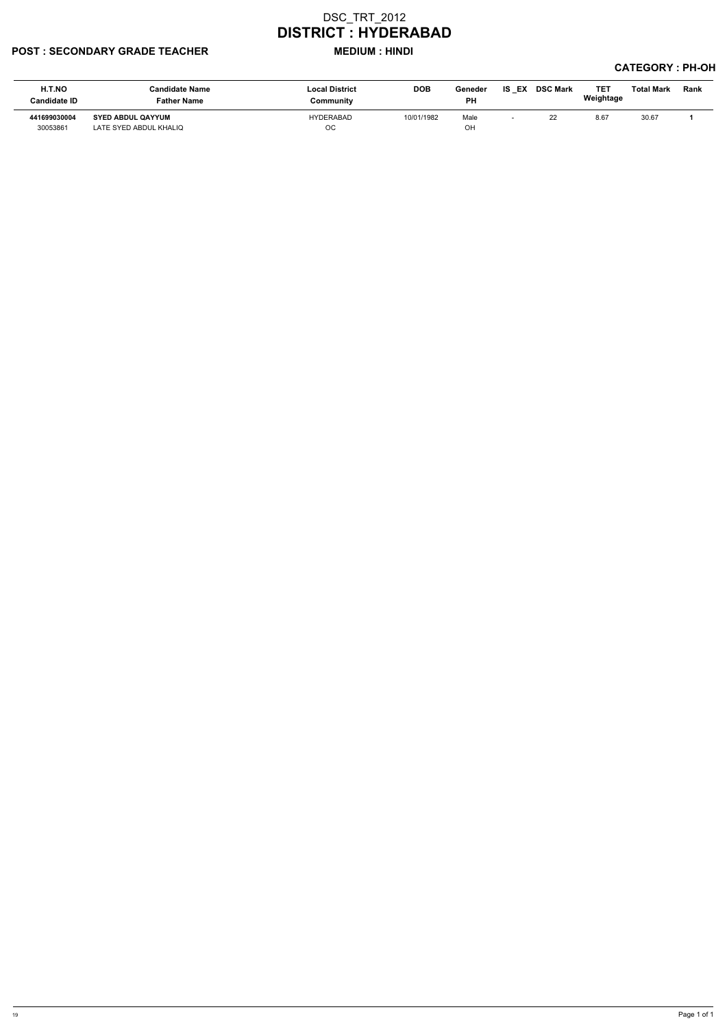#### POST : SECONDARY GRADE TEACHER MEDIUM : HINDI

| H.T.NO<br>Candidate ID   | <b>Candidate Name</b><br><b>Father Name</b>        | <b>Local District</b><br>Community | <b>DOB</b> | Geneder<br><b>PH</b> | IS EX | <b>DSC Mark</b> | <b>TET</b><br>Weightage | Total Mark | Rank |
|--------------------------|----------------------------------------------------|------------------------------------|------------|----------------------|-------|-----------------|-------------------------|------------|------|
| 441699030004<br>30053861 | <b>SYED ABDUL QAYYUM</b><br>LATE SYED ABDUL KHALIQ | HYDERABAD<br>OС                    | 10/01/1982 | Male<br>OН           |       | 22              | 8.67                    | 30.67      |      |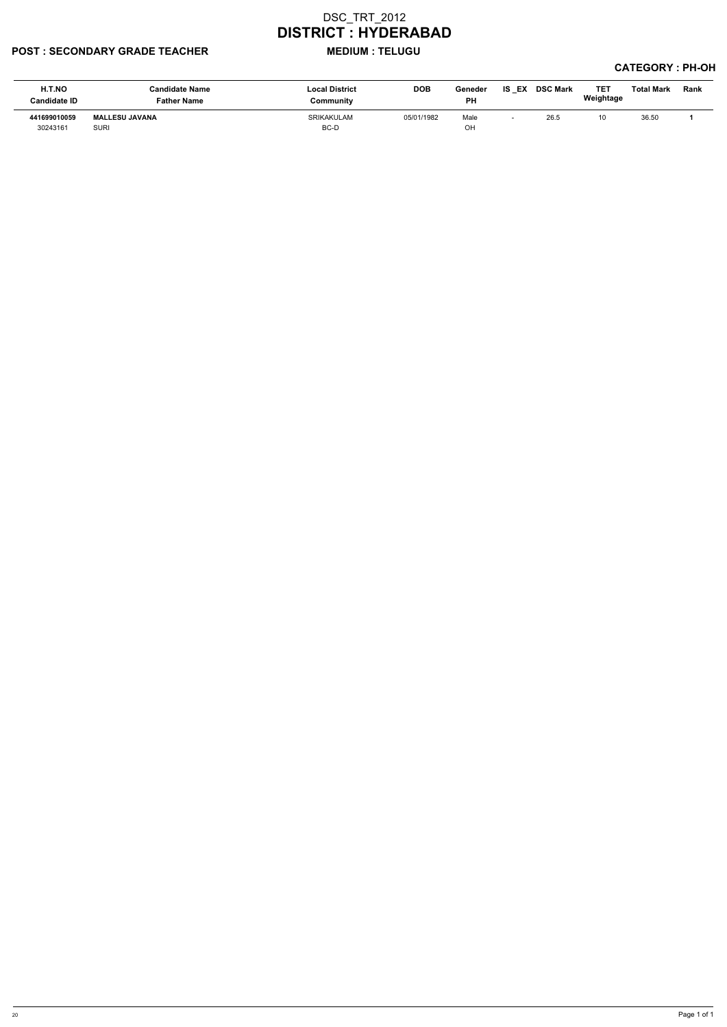#### POST : SECONDARY GRADE TEACHER MEDIUM : TELUGU

| H.T.NO<br>Candidate ID   | <b>Candidate Name</b><br><b>Father Name</b> | <b>Local District</b><br>Community | <b>DOB</b> | Geneder<br><b>PH</b> | EX<br>IS | <b>DSC Mark</b> | <b>TE1</b><br>Weightage | <b>Total Mark</b> | Rank |
|--------------------------|---------------------------------------------|------------------------------------|------------|----------------------|----------|-----------------|-------------------------|-------------------|------|
| 441699010059<br>30243161 | <b>MALLESU JAVANA</b><br><b>SURI</b>        | <b>SRIKAKULAM</b><br>BC-D          | 05/01/1982 | Male<br>OH           |          | 26.5            | 10                      | 36.50             |      |